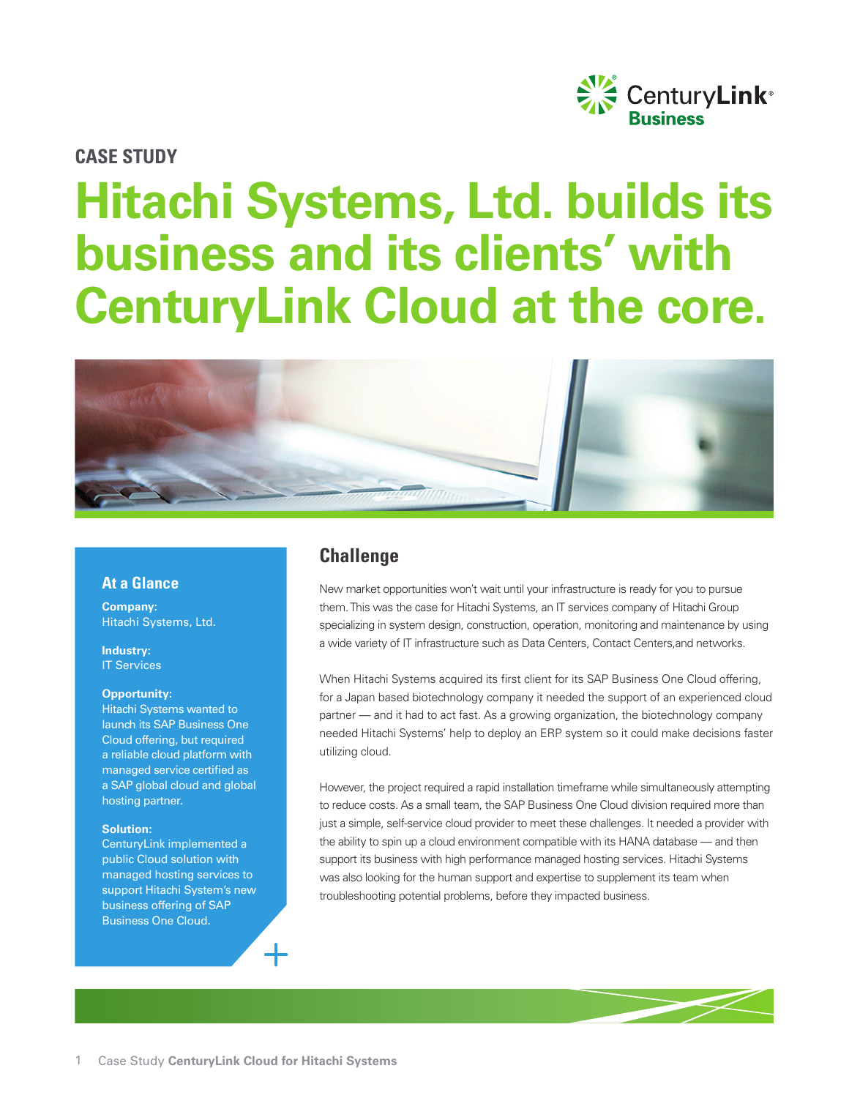

#### **CASE STUDY**

# **Hitachi Systems, Ltd. builds its business and its clients' with CenturyLink Cloud at the core.**



#### **At a Glance**

**Company:**  Hitachi Systems, Ltd.

**Industry:**  IT Services

#### **Opportunity:**

Hitachi Systems wanted to launch its SAP Business One Cloud offering, but required a reliable cloud platform with managed service certified as a SAP global cloud and global hosting partner.

#### **Solution:**

CenturyLink implemented a public Cloud solution with managed hosting services to support Hitachi System's new business offering of SAP Business One Cloud.

## **Challenge**

New market opportunities won't wait until your infrastructure is ready for you to pursue them. This was the case for Hitachi Systems, an IT services company of Hitachi Group specializing in system design, construction, operation, monitoring and maintenance by using a wide variety of IT infrastructure such as Data Centers, Contact Centers,and networks.

When Hitachi Systems acquired its first client for its SAP Business One Cloud offering, for a Japan based biotechnology company it needed the support of an experienced cloud partner — and it had to act fast. As a growing organization, the biotechnology company needed Hitachi Systems' help to deploy an ERP system so it could make decisions faster utilizing cloud.

However, the project required a rapid installation timeframe while simultaneously attempting to reduce costs. As a small team, the SAP Business One Cloud division required more than just a simple, self-service cloud provider to meet these challenges. It needed a provider with the ability to spin up a cloud environment compatible with its HANA database — and then support its business with high performance managed hosting services. Hitachi Systems was also looking for the human support and expertise to supplement its team when troubleshooting potential problems, before they impacted business.